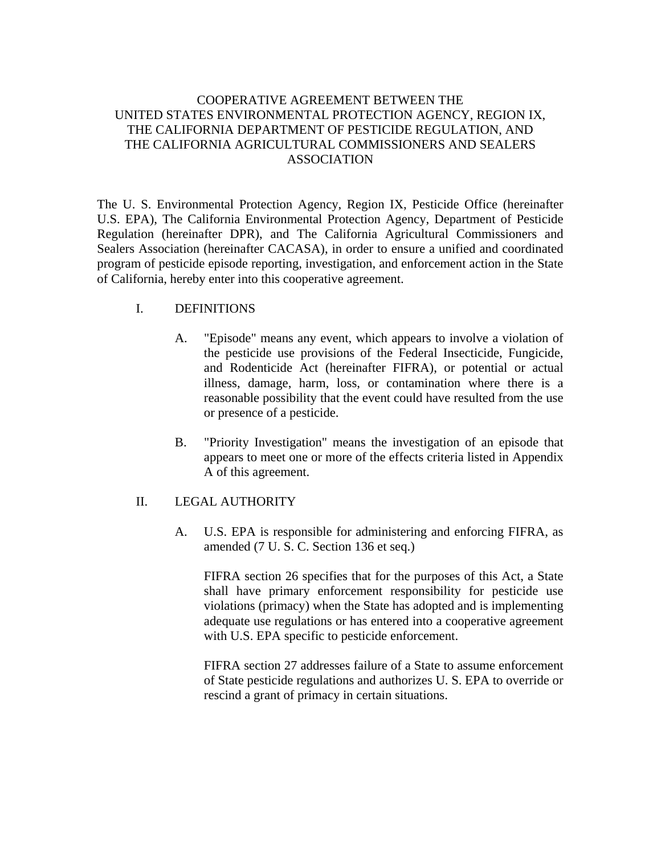# COOPERATIVE AGREEMENT BETWEEN THE UNITED STATES ENVIRONMENTAL PROTECTION AGENCY, REGION IX, THE CALIFORNIA DEPARTMENT OF PESTICIDE REGULATION, AND THE CALIFORNIA AGRICULTURAL COMMISSIONERS AND SEALERS ASSOCIATION

The U. S. Environmental Protection Agency, Region IX, Pesticide Office (hereinafter U.S. EPA), The California Environmental Protection Agency, Department of Pesticide Regulation (hereinafter DPR), and The California Agricultural Commissioners and Sealers Association (hereinafter CACASA), in order to ensure a unified and coordinated program of pesticide episode reporting, investigation, and enforcement action in the State of California, hereby enter into this cooperative agreement.

# I. DEFINITIONS

- A. "Episode" means any event, which appears to involve a violation of the pesticide use provisions of the Federal Insecticide, Fungicide, and Rodenticide Act (hereinafter FIFRA), or potential or actual illness, damage, harm, loss, or contamination where there is a reasonable possibility that the event could have resulted from the use or presence of a pesticide.
- B. "Priority Investigation" means the investigation of an episode that appears to meet one or more of the effects criteria listed in Appendix A of this agreement.

# II. LEGAL AUTHORITY

A. U.S. EPA is responsible for administering and enforcing FIFRA, as amended (7 U. S. C. Section 136 et seq.)

FIFRA section 26 specifies that for the purposes of this Act, a State shall have primary enforcement responsibility for pesticide use violations (primacy) when the State has adopted and is implementing adequate use regulations or has entered into a cooperative agreement with U.S. EPA specific to pesticide enforcement.

FIFRA section 27 addresses failure of a State to assume enforcement of State pesticide regulations and authorizes U. S. EPA to override or rescind a grant of primacy in certain situations.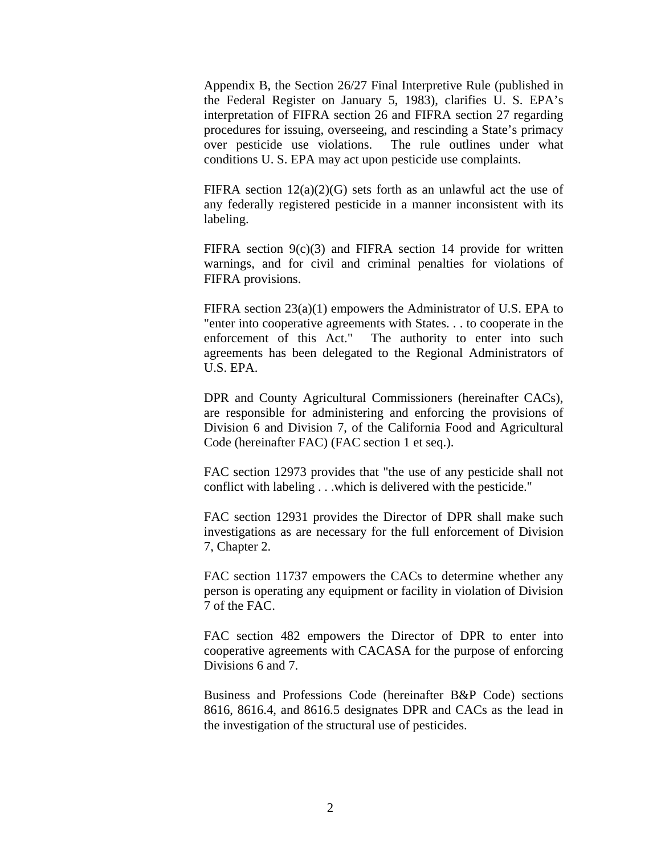Appendix B, the Section 26/27 Final Interpretive Rule (published in the Federal Register on January 5, 1983), clarifies U. S. EPA's interpretation of FIFRA section 26 and FIFRA section 27 regarding procedures for issuing, overseeing, and rescinding a State's primacy over pesticide use violations. The rule outlines under what conditions U. S. EPA may act upon pesticide use complaints.

FIFRA section  $12(a)(2)(G)$  sets forth as an unlawful act the use of any federally registered pesticide in a manner inconsistent with its labeling.

FIFRA section  $9(c)(3)$  and FIFRA section 14 provide for written warnings, and for civil and criminal penalties for violations of FIFRA provisions.

FIFRA section 23(a)(1) empowers the Administrator of U.S. EPA to "enter into cooperative agreements with States. . . to cooperate in the enforcement of this Act." The authority to enter into such agreements has been delegated to the Regional Administrators of U.S. EPA.

DPR and County Agricultural Commissioners (hereinafter CACs), are responsible for administering and enforcing the provisions of Division 6 and Division 7, of the California Food and Agricultural Code (hereinafter FAC) (FAC section 1 et seq.).

FAC section 12973 provides that "the use of any pesticide shall not conflict with labeling . . .which is delivered with the pesticide."

FAC section 12931 provides the Director of DPR shall make such investigations as are necessary for the full enforcement of Division 7, Chapter 2.

FAC section 11737 empowers the CACs to determine whether any person is operating any equipment or facility in violation of Division 7 of the FAC.

FAC section 482 empowers the Director of DPR to enter into cooperative agreements with CACASA for the purpose of enforcing Divisions 6 and 7.

Business and Professions Code (hereinafter B&P Code) sections 8616, 8616.4, and 8616.5 designates DPR and CACs as the lead in the investigation of the structural use of pesticides.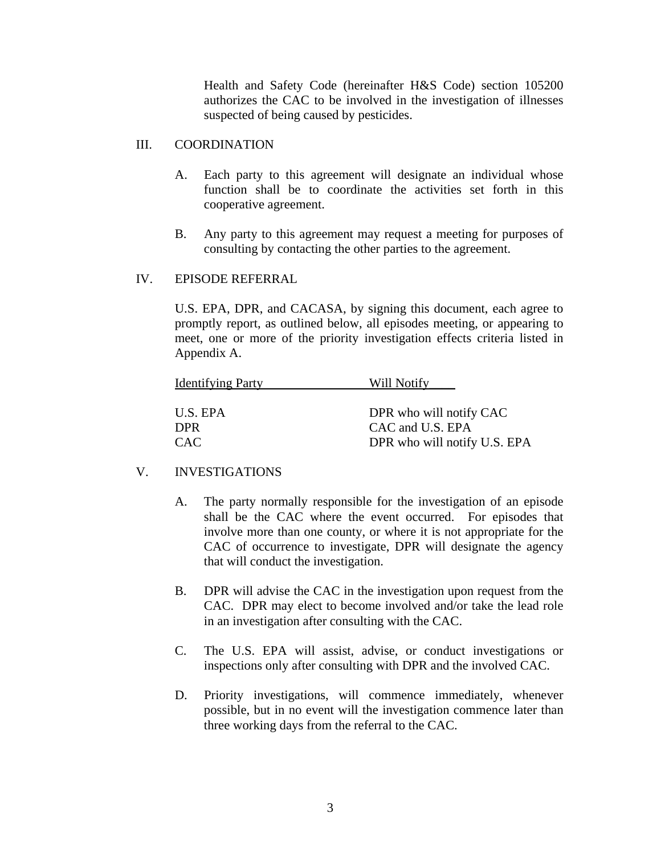Health and Safety Code (hereinafter H&S Code) section 105200 authorizes the CAC to be involved in the investigation of illnesses suspected of being caused by pesticides.

#### III. COORDINATION

- A. Each party to this agreement will designate an individual whose function shall be to coordinate the activities set forth in this cooperative agreement.
- B. Any party to this agreement may request a meeting for purposes of consulting by contacting the other parties to the agreement.

#### IV. EPISODE REFERRAL

U.S. EPA, DPR, and CACASA, by signing this document, each agree to promptly report, as outlined below, all episodes meeting, or appearing to meet, one or more of the priority investigation effects criteria listed in Appendix A.

| <b>Identifying Party</b> | Will Notify                  |
|--------------------------|------------------------------|
| U.S. EPA                 | DPR who will notify CAC      |
| <b>DPR</b>               | CAC and U.S. EPA             |
| <b>CAC</b>               | DPR who will notify U.S. EPA |

# V. INVESTIGATIONS

- A. The party normally responsible for the investigation of an episode shall be the CAC where the event occurred. For episodes that involve more than one county, or where it is not appropriate for the CAC of occurrence to investigate, DPR will designate the agency that will conduct the investigation.
- B. DPR will advise the CAC in the investigation upon request from the CAC. DPR may elect to become involved and/or take the lead role in an investigation after consulting with the CAC.
- C. The U.S. EPA will assist, advise, or conduct investigations or inspections only after consulting with DPR and the involved CAC.
- D. Priority investigations, will commence immediately, whenever possible, but in no event will the investigation commence later than three working days from the referral to the CAC.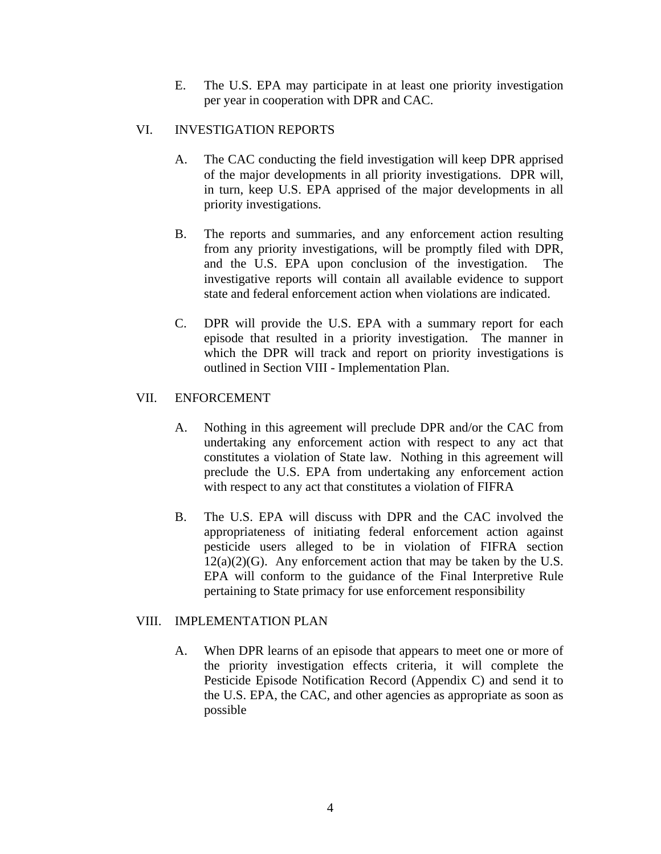E. The U.S. EPA may participate in at least one priority investigation per year in cooperation with DPR and CAC.

#### VI. INVESTIGATION REPORTS

- A. The CAC conducting the field investigation will keep DPR apprised of the major developments in all priority investigations. DPR will, in turn, keep U.S. EPA apprised of the major developments in all priority investigations.
- B. The reports and summaries, and any enforcement action resulting from any priority investigations, will be promptly filed with DPR, and the U.S. EPA upon conclusion of the investigation. The investigative reports will contain all available evidence to support state and federal enforcement action when violations are indicated.
- C. DPR will provide the U.S. EPA with a summary report for each episode that resulted in a priority investigation. The manner in which the DPR will track and report on priority investigations is outlined in Section VIII - Implementation Plan.

#### VII. ENFORCEMENT

- A. Nothing in this agreement will preclude DPR and/or the CAC from undertaking any enforcement action with respect to any act that constitutes a violation of State law. Nothing in this agreement will preclude the U.S. EPA from undertaking any enforcement action with respect to any act that constitutes a violation of FIFRA
- B. The U.S. EPA will discuss with DPR and the CAC involved the appropriateness of initiating federal enforcement action against pesticide users alleged to be in violation of FIFRA section  $12(a)(2)(G)$ . Any enforcement action that may be taken by the U.S. EPA will conform to the guidance of the Final Interpretive Rule pertaining to State primacy for use enforcement responsibility

# VIII. IMPLEMENTATION PLAN

A. When DPR learns of an episode that appears to meet one or more of the priority investigation effects criteria, it will complete the Pesticide Episode Notification Record (Appendix C) and send it to the U.S. EPA, the CAC, and other agencies as appropriate as soon as possible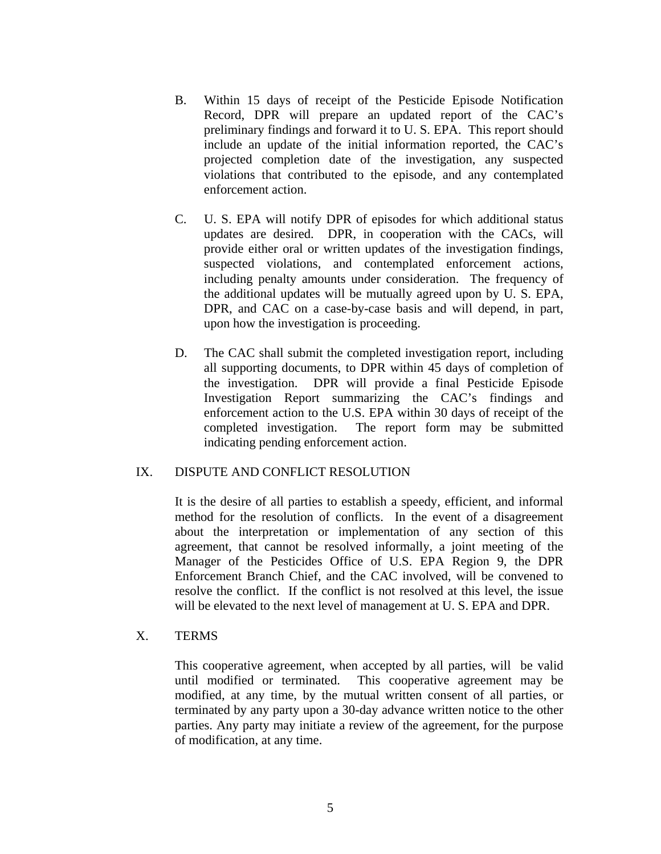- B. Within 15 days of receipt of the Pesticide Episode Notification Record, DPR will prepare an updated report of the CAC's preliminary findings and forward it to U. S. EPA. This report should include an update of the initial information reported, the CAC's projected completion date of the investigation, any suspected violations that contributed to the episode, and any contemplated enforcement action.
- C. U. S. EPA will notify DPR of episodes for which additional status updates are desired. DPR, in cooperation with the CACs, will provide either oral or written updates of the investigation findings, suspected violations, and contemplated enforcement actions, including penalty amounts under consideration. The frequency of the additional updates will be mutually agreed upon by U. S. EPA, DPR, and CAC on a case-by-case basis and will depend, in part, upon how the investigation is proceeding.
- D. The CAC shall submit the completed investigation report, including all supporting documents, to DPR within 45 days of completion of the investigation. DPR will provide a final Pesticide Episode Investigation Report summarizing the CAC's findings and enforcement action to the U.S. EPA within 30 days of receipt of the completed investigation. The report form may be submitted indicating pending enforcement action.

#### IX. DISPUTE AND CONFLICT RESOLUTION

It is the desire of all parties to establish a speedy, efficient, and informal method for the resolution of conflicts. In the event of a disagreement about the interpretation or implementation of any section of this agreement, that cannot be resolved informally, a joint meeting of the Manager of the Pesticides Office of U.S. EPA Region 9, the DPR Enforcement Branch Chief, and the CAC involved, will be convened to resolve the conflict. If the conflict is not resolved at this level, the issue will be elevated to the next level of management at U. S. EPA and DPR.

#### X. TERMS

This cooperative agreement, when accepted by all parties, will be valid until modified or terminated. This cooperative agreement may be modified, at any time, by the mutual written consent of all parties, or terminated by any party upon a 30-day advance written notice to the other parties. Any party may initiate a review of the agreement, for the purpose of modification, at any time.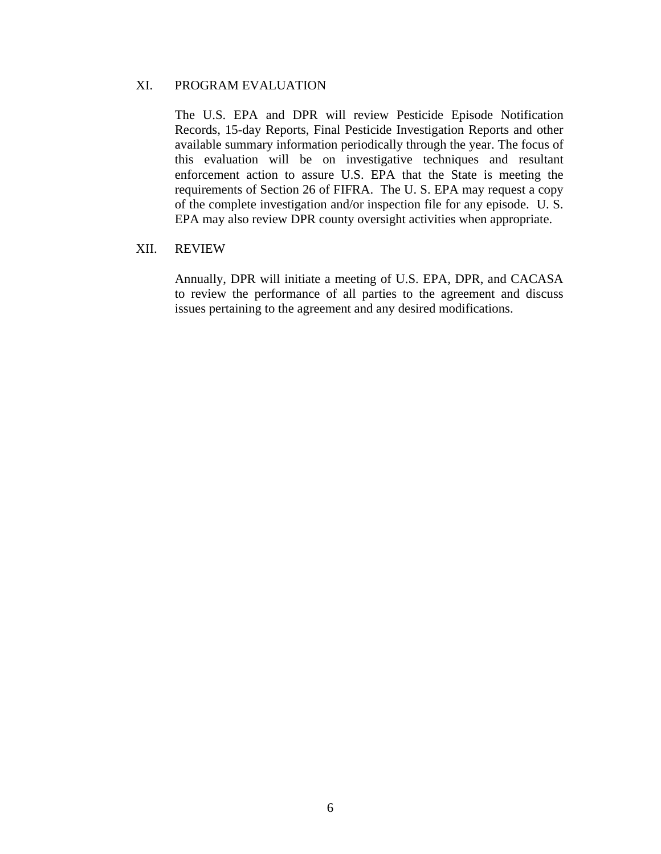#### XI. PROGRAM EVALUATION

The U.S. EPA and DPR will review Pesticide Episode Notification Records, 15-day Reports, Final Pesticide Investigation Reports and other available summary information periodically through the year. The focus of this evaluation will be on investigative techniques and resultant enforcement action to assure U.S. EPA that the State is meeting the requirements of Section 26 of FIFRA. The U. S. EPA may request a copy of the complete investigation and/or inspection file for any episode. U. S. EPA may also review DPR county oversight activities when appropriate.

#### XII. REVIEW

Annually, DPR will initiate a meeting of U.S. EPA, DPR, and CACASA to review the performance of all parties to the agreement and discuss issues pertaining to the agreement and any desired modifications.